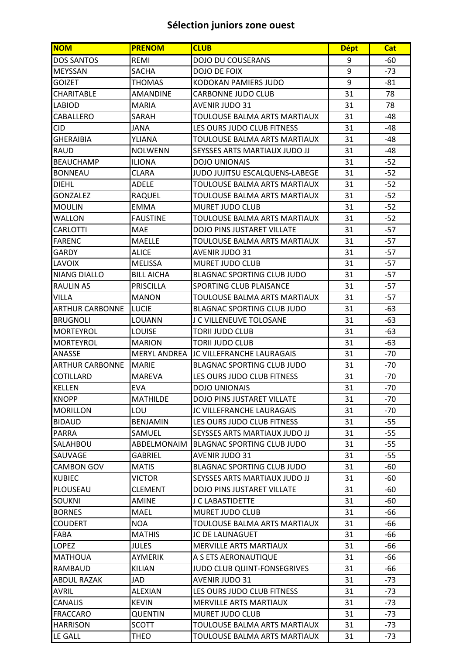## **Sélection juniors zone ouest**

| <b>NOM</b>             | <b>PRENOM</b>       | <b>CLUB</b>                          | <b>Dépt</b> | <b>Cat</b> |
|------------------------|---------------------|--------------------------------------|-------------|------------|
| <b>DOS SANTOS</b>      | <b>REMI</b>         | <b>DOJO DU COUSERANS</b>             | 9           | $-60$      |
| <b>MEYSSAN</b>         | <b>SACHA</b>        | DOJO DE FOIX                         | 9           | $-73$      |
| <b>GOIZET</b>          | <b>THOMAS</b>       | KODOKAN PAMIERS JUDO                 | 9           | $-81$      |
| CHARITABLE             | <b>AMANDINE</b>     | <b>CARBONNE JUDO CLUB</b>            | 31          | 78         |
| <b>LABIOD</b>          | <b>MARIA</b>        | <b>AVENIR JUDO 31</b>                | 31          | 78         |
| CABALLERO              | SARAH               | TOULOUSE BALMA ARTS MARTIAUX         | 31          | -48        |
| <b>CID</b>             | <b>JANA</b>         | LES OURS JUDO CLUB FITNESS           | 31          | -48        |
| <b>GHERAIBIA</b>       | YLIANA              | TOULOUSE BALMA ARTS MARTIAUX         | 31          | -48        |
| <b>RAUD</b>            | <b>NOLWENN</b>      | <b>SEYSSES ARTS MARTIAUX JUDO JJ</b> | 31          | -48        |
| <b>BEAUCHAMP</b>       | <b>ILIONA</b>       | <b>DOJO UNIONAIS</b>                 | 31          | $-52$      |
| <b>BONNEAU</b>         | <b>CLARA</b>        | JUDO JUJITSU ESCALQUENS-LABEGE       | 31          | $-52$      |
| DIEHL                  | <b>ADELE</b>        | TOULOUSE BALMA ARTS MARTIAUX         | 31          | $-52$      |
| GONZALEZ               | <b>RAQUEL</b>       | TOULOUSE BALMA ARTS MARTIAUX         | 31          | $-52$      |
| <b>MOULIN</b>          | <b>EMMA</b>         | <b>MURET JUDO CLUB</b>               | 31          | $-52$      |
| <b>WALLON</b>          | <b>FAUSTINE</b>     | TOULOUSE BALMA ARTS MARTIAUX         | 31          | $-52$      |
| CARLOTTI               | <b>MAE</b>          | <b>DOJO PINS JUSTARET VILLATE</b>    | 31          | $-57$      |
| <b>FARENC</b>          | <b>MAELLE</b>       | <b>TOULOUSE BALMA ARTS MARTIAUX</b>  | 31          | $-57$      |
| GARDY                  | <b>ALICE</b>        | <b>AVENIR JUDO 31</b>                | 31          | $-57$      |
| <b>LAVOIX</b>          | <b>MELISSA</b>      | MURET JUDO CLUB                      | 31          | $-57$      |
| <b>NIANG DIALLO</b>    | <b>BILL AICHA</b>   | <b>BLAGNAC SPORTING CLUB JUDO</b>    | 31          | $-57$      |
| <b>RAULIN AS</b>       | PRISCILLA           | <b>SPORTING CLUB PLAISANCE</b>       | 31          | $-57$      |
| <b>VILLA</b>           | <b>MANON</b>        | TOULOUSE BALMA ARTS MARTIAUX         | 31          | $-57$      |
| <b>ARTHUR CARBONNE</b> | <b>LUCIE</b>        | <b>BLAGNAC SPORTING CLUB JUDO</b>    | 31          | -63        |
| <b>BRUGNOLI</b>        | <b>LOUANN</b>       | J C VILLENEUVE TOLOSANE              | 31          | $-63$      |
| <b>MORTEYROL</b>       | <b>LOUISE</b>       | <b>TORII JUDO CLUB</b>               | 31          | $-63$      |
| <b>MORTEYROL</b>       | <b>MARION</b>       | <b>TORII JUDO CLUB</b>               | 31          | -63        |
| <b>ANASSE</b>          | <b>MERYL ANDREA</b> | JC VILLEFRANCHE LAURAGAIS            | 31          | $-70$      |
| <b>ARTHUR CARBONNE</b> | <b>MARIE</b>        | <b>BLAGNAC SPORTING CLUB JUDO</b>    | 31          | $-70$      |
| COTILLARD              | <b>MAREVA</b>       | LES OURS JUDO CLUB FITNESS           | 31          | $-70$      |
| KELLEN                 | <b>EVA</b>          | <b>DOJO UNIONAIS</b>                 | 31          | $-70$      |
| <b>KNOPP</b>           | <b>MATHILDE</b>     | <b>DOJO PINS JUSTARET VILLATE</b>    | 31          | $-70$      |
| <b>MORILLON</b>        | LOU                 | JC VILLEFRANCHE LAURAGAIS            | 31          | -70        |
| <b>BIDAUD</b>          | <b>BENJAMIN</b>     | LES OURS JUDO CLUB FITNESS           | 31          | $-55$      |
| <b>PARRA</b>           | SAMUEL              | SEYSSES ARTS MARTIAUX JUDO JJ        | 31          | $-55$      |
| <b>SALAHBOU</b>        | ABDELMONAIM         | BLAGNAC SPORTING CLUB JUDO           | 31          | $-55$      |
| SAUVAGE                | GABRIEL             | AVENIR JUDO 31                       | 31          | $-55$      |
| <b>CAMBON GOV</b>      | <b>MATIS</b>        | <b>BLAGNAC SPORTING CLUB JUDO</b>    | 31          | -60        |
| <b>KUBIEC</b>          | <b>VICTOR</b>       | SEYSSES ARTS MARTIAUX JUDO JJ        | 31          | -60        |
| <b>PLOUSEAU</b>        | <b>CLEMENT</b>      | <b>DOJO PINS JUSTARET VILLATE</b>    | 31          | -60        |
| <b>SOUKNI</b>          | <b>AMINE</b>        | J C LABASTIDETTE                     | 31          | -60        |
| <b>BORNES</b>          | <b>MAEL</b>         | MURET JUDO CLUB                      | 31          | -66        |
| <b>COUDERT</b>         | <b>NOA</b>          | TOULOUSE BALMA ARTS MARTIAUX         | 31          | -66        |
| <b>FABA</b>            | <b>MATHIS</b>       | JC DE LAUNAGUET                      | 31          | -66        |
| <b>LOPEZ</b>           | <b>JULES</b>        | MERVILLE ARTS MARTIAUX               | 31          | -66        |
| <b>MATHOUA</b>         | <b>AYMERIK</b>      | A S ETS AERONAUTIQUE                 | 31          | -66        |
| <b>RAMBAUD</b>         | <b>KILIAN</b>       | <b>JUDO CLUB QUINT-FONSEGRIVES</b>   | 31          | -66        |
| <b>ABDUL RAZAK</b>     | JAD                 | <b>AVENIR JUDO 31</b>                | 31          | $-73$      |
| <b>AVRIL</b>           | <b>ALEXIAN</b>      | LES OURS JUDO CLUB FITNESS           | 31          | -73        |
| <b>CANALIS</b>         | <b>KEVIN</b>        | <b>MERVILLE ARTS MARTIAUX</b>        | 31          | $-73$      |
| <b>FRACCARO</b>        | <b>QUENTIN</b>      | MURET JUDO CLUB                      | 31          | $-73$      |
| <b>HARRISON</b>        | <b>SCOTT</b>        | TOULOUSE BALMA ARTS MARTIAUX         | 31          | -73        |
| <b>LE GALL</b>         | <b>THEO</b>         | TOULOUSE BALMA ARTS MARTIAUX         | 31          | $-73$      |